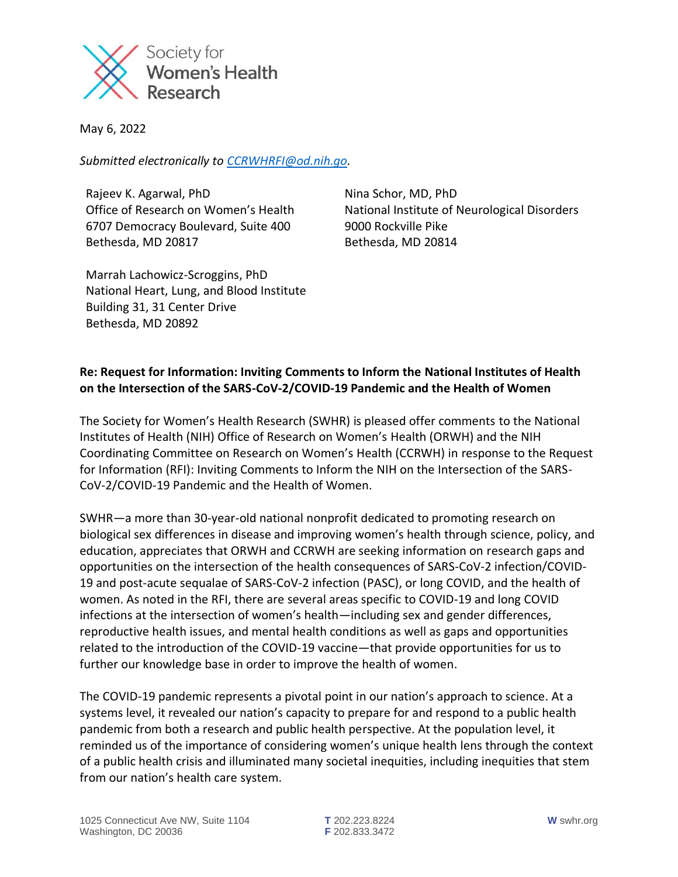

May 6, 2022

*Submitted electronically t[o CCRWHRFI@od.nih.go.](mailto:CCRWHRFI@od.nih.gov)*

Rajeev K. Agarwal, PhD Office of Research on Women's Health 6707 Democracy Boulevard, Suite 400 Bethesda, MD 20817

Nina Schor, MD, PhD National Institute of Neurological Disorders 9000 Rockville Pike Bethesda, MD 20814

Marrah Lachowicz-Scroggins, PhD National Heart, Lung, and Blood Institute Building 31, 31 Center Drive Bethesda, MD 20892

## **Re: Request for Information: Inviting Comments to Inform the National Institutes of Health on the Intersection of the SARS-CoV-2/COVID-19 Pandemic and the Health of Women**

The Society for Women's Health Research (SWHR) is pleased offer comments to the National Institutes of Health (NIH) Office of Research on Women's Health (ORWH) and the NIH Coordinating Committee on Research on Women's Health (CCRWH) in response to the Request for Information (RFI): Inviting Comments to Inform the NIH on the Intersection of the SARS-CoV-2/COVID-19 Pandemic and the Health of Women.

SWHR—a more than 30-year-old national nonprofit dedicated to promoting research on biological sex differences in disease and improving women's health through science, policy, and education, appreciates that ORWH and CCRWH are seeking information on research gaps and opportunities on the intersection of the health consequences of SARS-CoV-2 infection/COVID-19 and post-acute sequalae of SARS-CoV-2 infection (PASC), or long COVID, and the health of women. As noted in the RFI, there are several areas specific to COVID-19 and long COVID infections at the intersection of women's health—including sex and gender differences, reproductive health issues, and mental health conditions as well as gaps and opportunities related to the introduction of the COVID-19 vaccine—that provide opportunities for us to further our knowledge base in order to improve the health of women.

The COVID-19 pandemic represents a pivotal point in our nation's approach to science. At a systems level, it revealed our nation's capacity to prepare for and respond to a public health pandemic from both a research and public health perspective. At the population level, it reminded us of the importance of considering women's unique health lens through the context of a public health crisis and illuminated many societal inequities, including inequities that stem from our nation's health care system.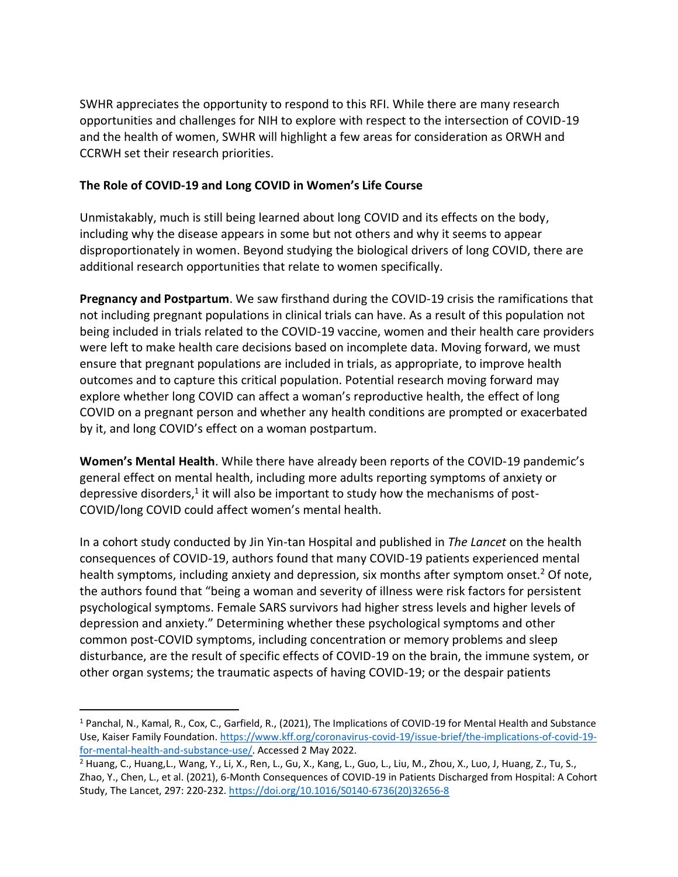SWHR appreciates the opportunity to respond to this RFI. While there are many research opportunities and challenges for NIH to explore with respect to the intersection of COVID-19 and the health of women, SWHR will highlight a few areas for consideration as ORWH and CCRWH set their research priorities.

## **The Role of COVID-19 and Long COVID in Women's Life Course**

Unmistakably, much is still being learned about long COVID and its effects on the body, including why the disease appears in some but not others and why it seems to appear disproportionately in women. Beyond studying the biological drivers of long COVID, there are additional research opportunities that relate to women specifically.

**Pregnancy and Postpartum**. We saw firsthand during the COVID-19 crisis the ramifications that not including pregnant populations in clinical trials can have. As a result of this population not being included in trials related to the COVID-19 vaccine, women and their health care providers were left to make health care decisions based on incomplete data. Moving forward, we must ensure that pregnant populations are included in trials, as appropriate, to improve health outcomes and to capture this critical population. Potential research moving forward may explore whether long COVID can affect a woman's reproductive health, the effect of long COVID on a pregnant person and whether any health conditions are prompted or exacerbated by it, and long COVID's effect on a woman postpartum.

**Women's Mental Health**. While there have already been reports of the COVID-19 pandemic's general effect on mental health, including more adults reporting symptoms of anxiety or depressive disorders,<sup>1</sup> it will also be important to study how the mechanisms of post-COVID/long COVID could affect women's mental health.

In a cohort study conducted by Jin Yin-tan Hospital and published in *The Lancet* on the health consequences of COVID-19, authors found that many COVID-19 patients experienced mental health symptoms, including anxiety and depression, six months after symptom onset.<sup>2</sup> Of note, the authors found that "being a woman and severity of illness were risk factors for persistent psychological symptoms. Female SARS survivors had higher stress levels and higher levels of depression and anxiety." Determining whether these psychological symptoms and other common post-COVID symptoms, including concentration or memory problems and sleep disturbance, are the result of specific effects of COVID-19 on the brain, the immune system, or other organ systems; the traumatic aspects of having COVID-19; or the despair patients

<sup>1</sup> Panchal, N., Kamal, R., Cox, C., Garfield, R., (2021), The Implications of COVID-19 for Mental Health and Substance Use, Kaiser Family Foundation. [https://www.kff.org/coronavirus-covid-19/issue-brief/the-implications-of-covid-19](https://www.kff.org/coronavirus-covid-19/issue-brief/the-implications-of-covid-19-for-mental-health-and-substance-use/) [for-mental-health-and-substance-use/.](https://www.kff.org/coronavirus-covid-19/issue-brief/the-implications-of-covid-19-for-mental-health-and-substance-use/) Accessed 2 May 2022.

<sup>2</sup> Huang, C., Huang,L., Wang, Y., Li, X., Ren, L., Gu, X., Kang, L., Guo, L., Liu, M., Zhou, X., Luo, J, Huang, Z., Tu, S., Zhao, Y., Chen, L., et al. (2021), 6-Month Consequences of COVID-19 in Patients Discharged from Hospital: A Cohort Study, The Lancet, 297: 220-232. [https://doi.org/10.1016/S0140-6736\(20\)32656-8](https://doi.org/10.1016/S0140-6736(20)32656-8)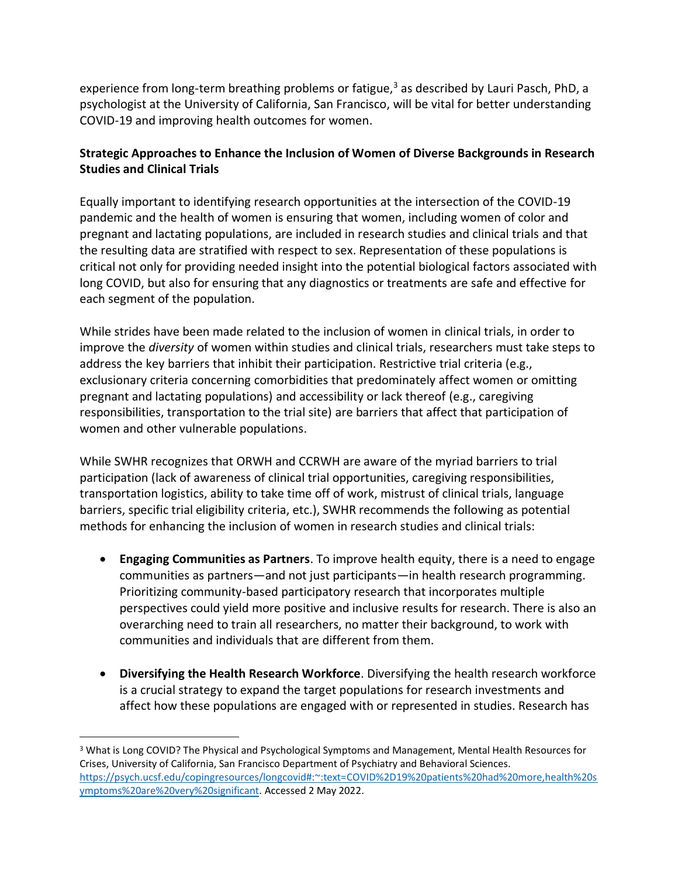experience from long-term breathing problems or fatigue, $3$  as described by Lauri Pasch, PhD, a psychologist at the University of California, San Francisco, will be vital for better understanding COVID-19 and improving health outcomes for women.

## **Strategic Approaches to Enhance the Inclusion of Women of Diverse Backgrounds in Research Studies and Clinical Trials**

Equally important to identifying research opportunities at the intersection of the COVID-19 pandemic and the health of women is ensuring that women, including women of color and pregnant and lactating populations, are included in research studies and clinical trials and that the resulting data are stratified with respect to sex. Representation of these populations is critical not only for providing needed insight into the potential biological factors associated with long COVID, but also for ensuring that any diagnostics or treatments are safe and effective for each segment of the population.

While strides have been made related to the inclusion of women in clinical trials, in order to improve the *diversity* of women within studies and clinical trials, researchers must take steps to address the key barriers that inhibit their participation. Restrictive trial criteria (e.g., exclusionary criteria concerning comorbidities that predominately affect women or omitting pregnant and lactating populations) and accessibility or lack thereof (e.g., caregiving responsibilities, transportation to the trial site) are barriers that affect that participation of women and other vulnerable populations.

While SWHR recognizes that ORWH and CCRWH are aware of the myriad barriers to trial participation (lack of awareness of clinical trial opportunities, caregiving responsibilities, transportation logistics, ability to take time off of work, mistrust of clinical trials, language barriers, specific trial eligibility criteria, etc.), SWHR recommends the following as potential methods for enhancing the inclusion of women in research studies and clinical trials:

- **Engaging Communities as Partners**. To improve health equity, there is a need to engage communities as partners—and not just participants—in health research programming. Prioritizing community-based participatory research that incorporates multiple perspectives could yield more positive and inclusive results for research. There is also an overarching need to train all researchers, no matter their background, to work with communities and individuals that are different from them.
- **Diversifying the Health Research Workforce**. Diversifying the health research workforce is a crucial strategy to expand the target populations for research investments and affect how these populations are engaged with or represented in studies. Research has

<sup>3</sup> What is Long COVID? The Physical and Psychological Symptoms and Management, Mental Health Resources for Crises, University of California, San Francisco Department of Psychiatry and Behavioral Sciences. [https://psych.ucsf.edu/copingresources/longcovid#:~:text=COVID%2D19%20patients%20had%20more,health%20s](https://psych.ucsf.edu/copingresources/longcovid#:~:text=COVID%2D19%20patients%20had%20more,health%20symptoms%20are%20very%20significant) [ymptoms%20are%20very%20significant.](https://psych.ucsf.edu/copingresources/longcovid#:~:text=COVID%2D19%20patients%20had%20more,health%20symptoms%20are%20very%20significant) Accessed 2 May 2022.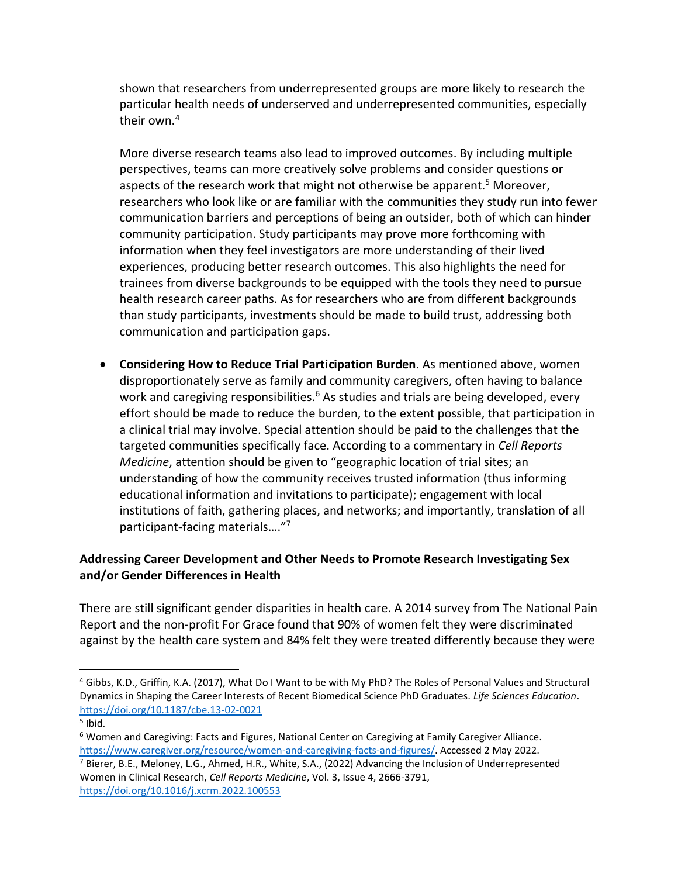shown that researchers from underrepresented groups are more likely to research the particular health needs of underserved and underrepresented communities, especially their own.<sup>4</sup>

More diverse research teams also lead to improved outcomes. By including multiple perspectives, teams can more creatively solve problems and consider questions or aspects of the research work that might not otherwise be apparent.<sup>5</sup> Moreover, researchers who look like or are familiar with the communities they study run into fewer communication barriers and perceptions of being an outsider, both of which can hinder community participation. Study participants may prove more forthcoming with information when they feel investigators are more understanding of their lived experiences, producing better research outcomes. This also highlights the need for trainees from diverse backgrounds to be equipped with the tools they need to pursue health research career paths. As for researchers who are from different backgrounds than study participants, investments should be made to build trust, addressing both communication and participation gaps.

• **Considering How to Reduce Trial Participation Burden**. As mentioned above, women disproportionately serve as family and community caregivers, often having to balance work and caregiving responsibilities.<sup>6</sup> As studies and trials are being developed, every effort should be made to reduce the burden, to the extent possible, that participation in a clinical trial may involve. Special attention should be paid to the challenges that the targeted communities specifically face. According to a commentary in *Cell Reports Medicine*, attention should be given to "geographic location of trial sites; an understanding of how the community receives trusted information (thus informing educational information and invitations to participate); engagement with local institutions of faith, gathering places, and networks; and importantly, translation of all participant-facing materials…." 7

## **Addressing Career Development and Other Needs to Promote Research Investigating Sex and/or Gender Differences in Health**

There are still significant gender disparities in health care. A 2014 survey from The National Pain Report and the non-profit For Grace found that 90% of women felt they were discriminated against by the health care system and 84% felt they were treated differently because they were

<sup>4</sup> Gibbs, K.D., Griffin, K.A. (2017), What Do I Want to be with My PhD? The Roles of Personal Values and Structural Dynamics in Shaping the Career Interests of Recent Biomedical Science PhD Graduates. *Life Sciences Education*. <https://doi.org/10.1187/cbe.13-02-0021>

<sup>5</sup> Ibid.

<sup>6</sup> Women and Caregiving: Facts and Figures, National Center on Caregiving at Family Caregiver Alliance. [https://www.caregiver.org/resource/women-and-caregiving-facts-and-figures/.](https://www.caregiver.org/resource/women-and-caregiving-facts-and-figures/) Accessed 2 May 2022.

<sup>7</sup> Bierer, B.E., Meloney, L.G., Ahmed, H.R., White, S.A., (2022) Advancing the Inclusion of Underrepresented Women in Clinical Research, *Cell Reports Medicine*, Vol. 3, Issue 4, 2666-3791, <https://doi.org/10.1016/j.xcrm.2022.100553>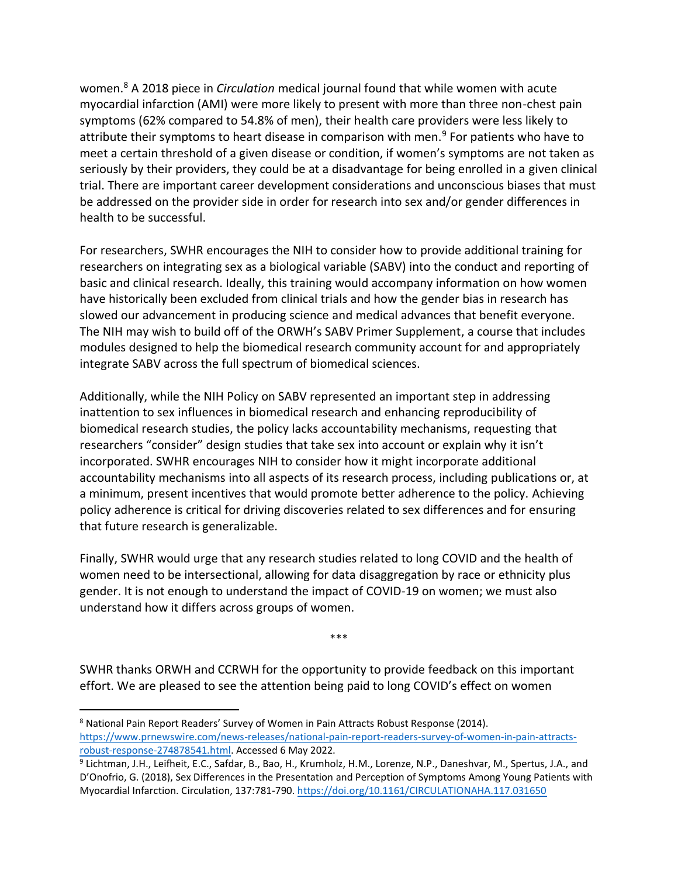women.<sup>8</sup> A 2018 piece in *Circulation* medical journal found that while women with acute myocardial infarction (AMI) were more likely to present with more than three non-chest pain symptoms (62% compared to 54.8% of men), their health care providers were less likely to attribute their symptoms to heart disease in comparison with men.<sup>9</sup> For patients who have to meet a certain threshold of a given disease or condition, if women's symptoms are not taken as seriously by their providers, they could be at a disadvantage for being enrolled in a given clinical trial. There are important career development considerations and unconscious biases that must be addressed on the provider side in order for research into sex and/or gender differences in health to be successful.

For researchers, SWHR encourages the NIH to consider how to provide additional training for researchers on integrating sex as a biological variable (SABV) into the conduct and reporting of basic and clinical research. Ideally, this training would accompany information on how women have historically been excluded from clinical trials and how the gender bias in research has slowed our advancement in producing science and medical advances that benefit everyone. The NIH may wish to build off of the ORWH's SABV Primer Supplement, a course that includes modules designed to help the biomedical research community account for and appropriately integrate SABV across the full spectrum of biomedical sciences.

Additionally, while the NIH Policy on SABV represented an important step in addressing inattention to sex influences in biomedical research and enhancing reproducibility of biomedical research studies, the policy lacks accountability mechanisms, requesting that researchers "consider" design studies that take sex into account or explain why it isn't incorporated. SWHR encourages NIH to consider how it might incorporate additional accountability mechanisms into all aspects of its research process, including publications or, at a minimum, present incentives that would promote better adherence to the policy. Achieving policy adherence is critical for driving discoveries related to sex differences and for ensuring that future research is generalizable.

Finally, SWHR would urge that any research studies related to long COVID and the health of women need to be intersectional, allowing for data disaggregation by race or ethnicity plus gender. It is not enough to understand the impact of COVID-19 on women; we must also understand how it differs across groups of women.

\*\*\*

SWHR thanks ORWH and CCRWH for the opportunity to provide feedback on this important effort. We are pleased to see the attention being paid to long COVID's effect on women

<sup>8</sup> National Pain Report Readers' Survey of Women in Pain Attracts Robust Response (2014). [https://www.prnewswire.com/news-releases/national-pain-report-readers-survey-of-women-in-pain-attracts](https://www.prnewswire.com/news-releases/national-pain-report-readers-survey-of-women-in-pain-attracts-robust-response-274878541.html)[robust-response-274878541.html.](https://www.prnewswire.com/news-releases/national-pain-report-readers-survey-of-women-in-pain-attracts-robust-response-274878541.html) Accessed 6 May 2022.

<sup>9</sup> Lichtman, J.H., Leifheit, E.C., Safdar, B., Bao, H., Krumholz, H.M., Lorenze, N.P., Daneshvar, M., Spertus, J.A., and D'Onofrio, G. (2018), Sex Differences in the Presentation and Perception of Symptoms Among Young Patients with Myocardial Infarction. Circulation, 137:781-790.<https://doi.org/10.1161/CIRCULATIONAHA.117.031650>